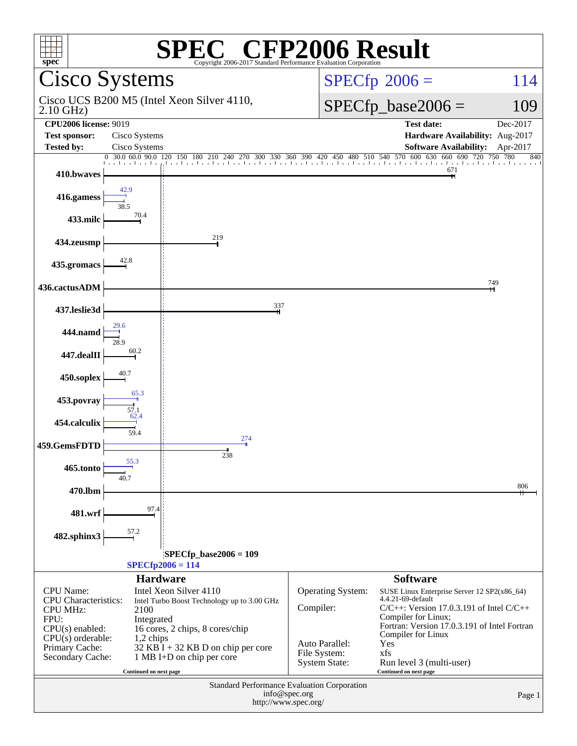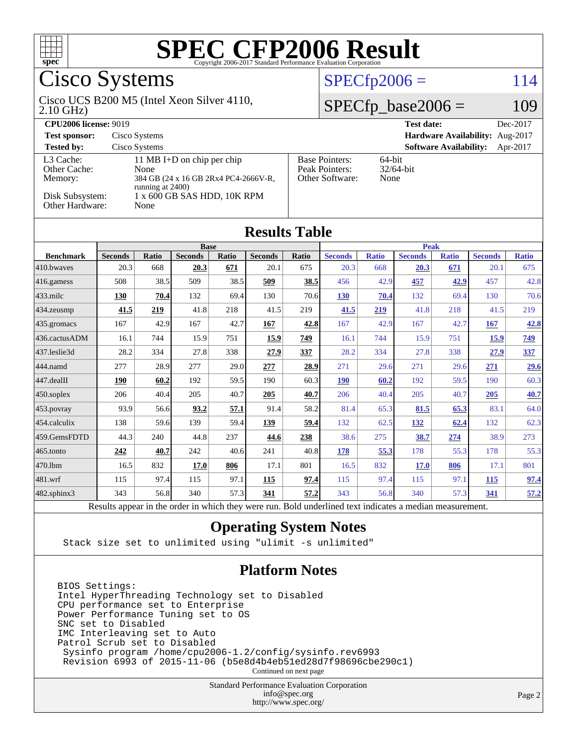

# Cisco Systems

#### 2.10 GHz) Cisco UCS B200 M5 (Intel Xeon Silver 4110,

### $SPECfp2006 = 114$  $SPECfp2006 = 114$

### $SPECfp\_base2006 = 109$

| <b>CPU2006 license: 9019</b>         |                                                                                                   |                                                            | <b>Test date:</b><br>Dec-2017             |
|--------------------------------------|---------------------------------------------------------------------------------------------------|------------------------------------------------------------|-------------------------------------------|
| <b>Test sponsor:</b>                 | Cisco Systems                                                                                     |                                                            | Hardware Availability: Aug-2017           |
| <b>Tested by:</b>                    | Cisco Systems                                                                                     |                                                            | <b>Software Availability:</b><br>Apr-2017 |
| L3 Cache:<br>Other Cache:<br>Memory: | 11 MB I+D on chip per chip<br>None<br>384 GB (24 x 16 GB 2Rx4 PC4-2666V-R,<br>running at $2400$ ) | <b>Base Pointers:</b><br>Peak Pointers:<br>Other Software: | $64$ -bit<br>$32/64$ -bit<br>None         |
| Disk Subsystem:<br>Other Hardware:   | 1 x 600 GB SAS HDD, 10K RPM<br>None                                                               |                                                            |                                           |

| <b>Results Table</b>   |                                                                                                      |              |                |       |                |       |                |              |                |              |                |              |
|------------------------|------------------------------------------------------------------------------------------------------|--------------|----------------|-------|----------------|-------|----------------|--------------|----------------|--------------|----------------|--------------|
|                        | <b>Base</b>                                                                                          |              |                |       | <b>Peak</b>    |       |                |              |                |              |                |              |
| <b>Benchmark</b>       | <b>Seconds</b>                                                                                       | <b>Ratio</b> | <b>Seconds</b> | Ratio | <b>Seconds</b> | Ratio | <b>Seconds</b> | <b>Ratio</b> | <b>Seconds</b> | <b>Ratio</b> | <b>Seconds</b> | <b>Ratio</b> |
| 410.bwaves             | 20.3                                                                                                 | 668          | 20.3           | 671   | 20.1           | 675   | 20.3           | 668          | 20.3           | 671          | 20.1           | 675          |
| 416.gamess             | 508                                                                                                  | 38.5         | 509            | 38.5  | 509            | 38.5  | 456            | 42.9         | 457            | 42.9         | 457            | 42.8         |
| $433$ .milc            | 130                                                                                                  | 70.4         | 132            | 69.4  | 130            | 70.6  | 130            | 70.4         | 132            | 69.4         | 130            | 70.6         |
| 434.zeusmp             | 41.5                                                                                                 | 219          | 41.8           | 218   | 41.5           | 219   | 41.5           | 219          | 41.8           | 218          | 41.5           | 219          |
| $435.$ gromacs         | 167                                                                                                  | 42.9         | 167            | 42.7  | 167            | 42.8  | 167            | 42.9         | 167            | 42.7         | <b>167</b>     | 42.8         |
| 436.cactusADM          | 16.1                                                                                                 | 744          | 15.9           | 751   | 15.9           | 749   | 16.1           | 744          | 15.9           | 751          | 15.9           | <u>749</u>   |
| 437.leslie3d           | 28.2                                                                                                 | 334          | 27.8           | 338   | 27.9           | 337   | 28.2           | 334          | 27.8           | 338          | 27.9           | 337          |
| 444.namd               | 277                                                                                                  | 28.9         | 277            | 29.0  | 277            | 28.9  | 271            | 29.6         | 271            | 29.6         | 271            | 29.6         |
| $ 447 \text{.}$ dealII | 190                                                                                                  | 60.2         | 192            | 59.5  | 190            | 60.3  | <b>190</b>     | 60.2         | 192            | 59.5         | 190            | 60.3         |
| $450$ .soplex          | 206                                                                                                  | 40.4         | 205            | 40.7  | 205            | 40.7  | 206            | 40.4         | 205            | 40.7         | 205            | 40.7         |
| $ 453$ . povray        | 93.9                                                                                                 | 56.6         | 93.2           | 57.1  | 91.4           | 58.2  | 81.4           | 65.3         | 81.5           | 65.3         | 83.1           | 64.0         |
| $ 454$ .calculix       | 138                                                                                                  | 59.6         | 139            | 59.4  | 139            | 59.4  | 132            | 62.5         | <u>132</u>     | 62.4         | 132            | 62.3         |
| 459.GemsFDTD           | 44.3                                                                                                 | 240          | 44.8           | 237   | 44.6           | 238   | 38.6           | 275          | 38.7           | 274          | 38.9           | 273          |
| $ 465$ .tonto          | 242                                                                                                  | 40.7         | 242            | 40.6  | 241            | 40.8  | 178            | 55.3         | 178            | 55.3         | 178            | 55.3         |
| 470.1bm                | 16.5                                                                                                 | 832          | 17.0           | 806   | 17.1           | 801   | 16.5           | 832          | 17.0           | 806          | 17.1           | 801          |
| $ 481$ .wrf            | 115                                                                                                  | 97.4         | 115            | 97.1  | 115            | 97.4  | 115            | 97.4         | 115            | 97.1         | <b>115</b>     | 97.4         |
| 482.sphinx3            | 343                                                                                                  | 56.8         | 340            | 57.3  | 341            | 57.2  | 343            | 56.8         | 340            | 57.3         | 341            | 57.2         |
|                        | Decute ennear in the order in which thay were my Dold underlined taut indicates a modian measurement |              |                |       |                |       |                |              |                |              |                |              |

Results appear in the [order in which they were run.](http://www.spec.org/auto/cpu2006/Docs/result-fields.html#RunOrder) Bold underlined text [indicates a median measurement.](http://www.spec.org/auto/cpu2006/Docs/result-fields.html#Median)

### **[Operating System Notes](http://www.spec.org/auto/cpu2006/Docs/result-fields.html#OperatingSystemNotes)**

Stack size set to unlimited using "ulimit -s unlimited"

#### **[Platform Notes](http://www.spec.org/auto/cpu2006/Docs/result-fields.html#PlatformNotes)**

BIOS Settings: Intel HyperThreading Technology set to Disabled CPU performance set to Enterprise Power Performance Tuning set to OS SNC set to Disabled IMC Interleaving set to Auto Patrol Scrub set to Disabled Sysinfo program /home/cpu2006-1.2/config/sysinfo.rev6993 Revision 6993 of 2015-11-06 (b5e8d4b4eb51ed28d7f98696cbe290c1)

Continued on next page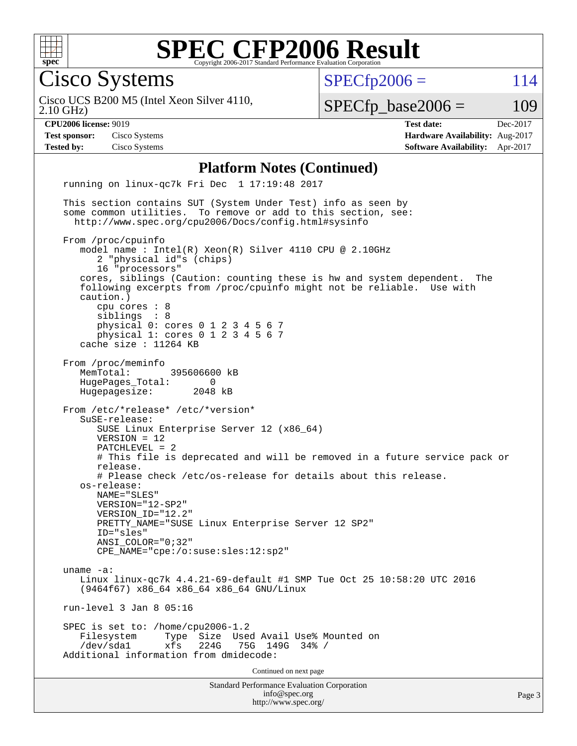

Cisco Systems

 $SPECTp2006 = 114$ 

2.10 GHz) Cisco UCS B200 M5 (Intel Xeon Silver 4110,

 $SPECTp\_base2006 = 109$ 

**[CPU2006 license:](http://www.spec.org/auto/cpu2006/Docs/result-fields.html#CPU2006license)** 9019 **[Test date:](http://www.spec.org/auto/cpu2006/Docs/result-fields.html#Testdate)** Dec-2017 **[Test sponsor:](http://www.spec.org/auto/cpu2006/Docs/result-fields.html#Testsponsor)** Cisco Systems **[Hardware Availability:](http://www.spec.org/auto/cpu2006/Docs/result-fields.html#HardwareAvailability)** Aug-2017 **[Tested by:](http://www.spec.org/auto/cpu2006/Docs/result-fields.html#Testedby)** Cisco Systems **[Software Availability:](http://www.spec.org/auto/cpu2006/Docs/result-fields.html#SoftwareAvailability)** Apr-2017

#### **[Platform Notes \(Continued\)](http://www.spec.org/auto/cpu2006/Docs/result-fields.html#PlatformNotes)**

Standard Performance Evaluation Corporation [info@spec.org](mailto:info@spec.org) <http://www.spec.org/> Page 3 running on linux-qc7k Fri Dec 1 17:19:48 2017 This section contains SUT (System Under Test) info as seen by some common utilities. To remove or add to this section, see: <http://www.spec.org/cpu2006/Docs/config.html#sysinfo> From /proc/cpuinfo model name : Intel(R) Xeon(R) Silver 4110 CPU @ 2.10GHz 2 "physical id"s (chips) 16 "processors" cores, siblings (Caution: counting these is hw and system dependent. The following excerpts from /proc/cpuinfo might not be reliable. Use with caution.) cpu cores : 8 siblings : 8 physical 0: cores 0 1 2 3 4 5 6 7 physical 1: cores 0 1 2 3 4 5 6 7 cache size : 11264 KB From /proc/meminfo MemTotal: 395606600 kB<br>HugePages Total: 0 HugePages\_Total: 0<br>Hugepagesize: 2048 kB Hugepagesize: From /etc/\*release\* /etc/\*version\* SuSE-release: SUSE Linux Enterprise Server 12 (x86\_64) VERSION = 12 PATCHLEVEL = 2 # This file is deprecated and will be removed in a future service pack or release. # Please check /etc/os-release for details about this release. os-release: NAME="SLES" VERSION="12-SP2" VERSION\_ID="12.2" PRETTY\_NAME="SUSE Linux Enterprise Server 12 SP2" ID="sles" ANSI\_COLOR="0;32" CPE\_NAME="cpe:/o:suse:sles:12:sp2" uname -a: Linux linux-qc7k 4.4.21-69-default #1 SMP Tue Oct 25 10:58:20 UTC 2016 (9464f67) x86\_64 x86\_64 x86\_64 GNU/Linux run-level 3 Jan 8 05:16 SPEC is set to: /home/cpu2006-1.2 Filesystem Type Size Used Avail Use% Mounted on 75G 149G 34% / Additional information from dmidecode: Continued on next page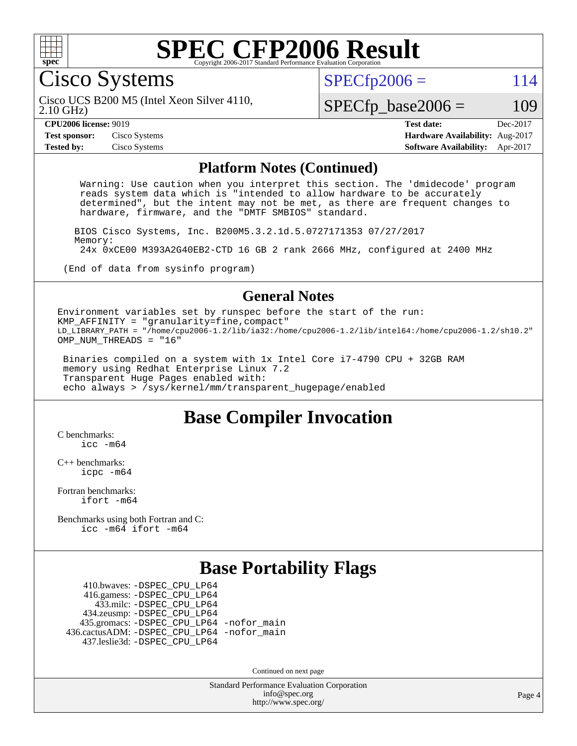

Cisco Systems

 $SPECTp2006 = 114$ 

2.10 GHz) Cisco UCS B200 M5 (Intel Xeon Silver 4110,

#### **[CPU2006 license:](http://www.spec.org/auto/cpu2006/Docs/result-fields.html#CPU2006license)** 9019

 $SPECTp\_base2006 = 109$ 

| <b>CPU2006 license: 9019</b>       |               | <b>Test date:</b>                      |  |
|------------------------------------|---------------|----------------------------------------|--|
| <b>Test sponsor:</b> Cisco Systems |               | <b>Hardware Availability: Aug-2017</b> |  |
| <b>Tested by:</b>                  | Cisco Systems | <b>Software Availability:</b> Apr-2017 |  |

#### **[Platform Notes \(Continued\)](http://www.spec.org/auto/cpu2006/Docs/result-fields.html#PlatformNotes)**

 Warning: Use caution when you interpret this section. The 'dmidecode' program reads system data which is "intended to allow hardware to be accurately determined", but the intent may not be met, as there are frequent changes to hardware, firmware, and the "DMTF SMBIOS" standard.

 BIOS Cisco Systems, Inc. B200M5.3.2.1d.5.0727171353 07/27/2017 Memory: 24x 0xCE00 M393A2G40EB2-CTD 16 GB 2 rank 2666 MHz, configured at 2400 MHz

(End of data from sysinfo program)

#### **[General Notes](http://www.spec.org/auto/cpu2006/Docs/result-fields.html#GeneralNotes)**

Environment variables set by runspec before the start of the run: KMP\_AFFINITY = "granularity=fine,compact" LD\_LIBRARY\_PATH = "/home/cpu2006-1.2/lib/ia32:/home/cpu2006-1.2/lib/intel64:/home/cpu2006-1.2/sh10.2" OMP NUM THREADS = "16"

 Binaries compiled on a system with 1x Intel Core i7-4790 CPU + 32GB RAM memory using Redhat Enterprise Linux 7.2 Transparent Huge Pages enabled with: echo always > /sys/kernel/mm/transparent\_hugepage/enabled

### **[Base Compiler Invocation](http://www.spec.org/auto/cpu2006/Docs/result-fields.html#BaseCompilerInvocation)**

[C benchmarks](http://www.spec.org/auto/cpu2006/Docs/result-fields.html#Cbenchmarks): [icc -m64](http://www.spec.org/cpu2006/results/res2017q4/cpu2006-20171211-50978.flags.html#user_CCbase_intel_icc_64bit_bda6cc9af1fdbb0edc3795bac97ada53)

[C++ benchmarks:](http://www.spec.org/auto/cpu2006/Docs/result-fields.html#CXXbenchmarks) [icpc -m64](http://www.spec.org/cpu2006/results/res2017q4/cpu2006-20171211-50978.flags.html#user_CXXbase_intel_icpc_64bit_fc66a5337ce925472a5c54ad6a0de310)

[Fortran benchmarks](http://www.spec.org/auto/cpu2006/Docs/result-fields.html#Fortranbenchmarks): [ifort -m64](http://www.spec.org/cpu2006/results/res2017q4/cpu2006-20171211-50978.flags.html#user_FCbase_intel_ifort_64bit_ee9d0fb25645d0210d97eb0527dcc06e)

[Benchmarks using both Fortran and C](http://www.spec.org/auto/cpu2006/Docs/result-fields.html#BenchmarksusingbothFortranandC): [icc -m64](http://www.spec.org/cpu2006/results/res2017q4/cpu2006-20171211-50978.flags.html#user_CC_FCbase_intel_icc_64bit_bda6cc9af1fdbb0edc3795bac97ada53) [ifort -m64](http://www.spec.org/cpu2006/results/res2017q4/cpu2006-20171211-50978.flags.html#user_CC_FCbase_intel_ifort_64bit_ee9d0fb25645d0210d97eb0527dcc06e)

### **[Base Portability Flags](http://www.spec.org/auto/cpu2006/Docs/result-fields.html#BasePortabilityFlags)**

 410.bwaves: [-DSPEC\\_CPU\\_LP64](http://www.spec.org/cpu2006/results/res2017q4/cpu2006-20171211-50978.flags.html#suite_basePORTABILITY410_bwaves_DSPEC_CPU_LP64) 416.gamess: [-DSPEC\\_CPU\\_LP64](http://www.spec.org/cpu2006/results/res2017q4/cpu2006-20171211-50978.flags.html#suite_basePORTABILITY416_gamess_DSPEC_CPU_LP64) 433.milc: [-DSPEC\\_CPU\\_LP64](http://www.spec.org/cpu2006/results/res2017q4/cpu2006-20171211-50978.flags.html#suite_basePORTABILITY433_milc_DSPEC_CPU_LP64) 434.zeusmp: [-DSPEC\\_CPU\\_LP64](http://www.spec.org/cpu2006/results/res2017q4/cpu2006-20171211-50978.flags.html#suite_basePORTABILITY434_zeusmp_DSPEC_CPU_LP64) 435.gromacs: [-DSPEC\\_CPU\\_LP64](http://www.spec.org/cpu2006/results/res2017q4/cpu2006-20171211-50978.flags.html#suite_basePORTABILITY435_gromacs_DSPEC_CPU_LP64) [-nofor\\_main](http://www.spec.org/cpu2006/results/res2017q4/cpu2006-20171211-50978.flags.html#user_baseLDPORTABILITY435_gromacs_f-nofor_main) 436.cactusADM: [-DSPEC\\_CPU\\_LP64](http://www.spec.org/cpu2006/results/res2017q4/cpu2006-20171211-50978.flags.html#suite_basePORTABILITY436_cactusADM_DSPEC_CPU_LP64) [-nofor\\_main](http://www.spec.org/cpu2006/results/res2017q4/cpu2006-20171211-50978.flags.html#user_baseLDPORTABILITY436_cactusADM_f-nofor_main) 437.leslie3d: [-DSPEC\\_CPU\\_LP64](http://www.spec.org/cpu2006/results/res2017q4/cpu2006-20171211-50978.flags.html#suite_basePORTABILITY437_leslie3d_DSPEC_CPU_LP64)

Continued on next page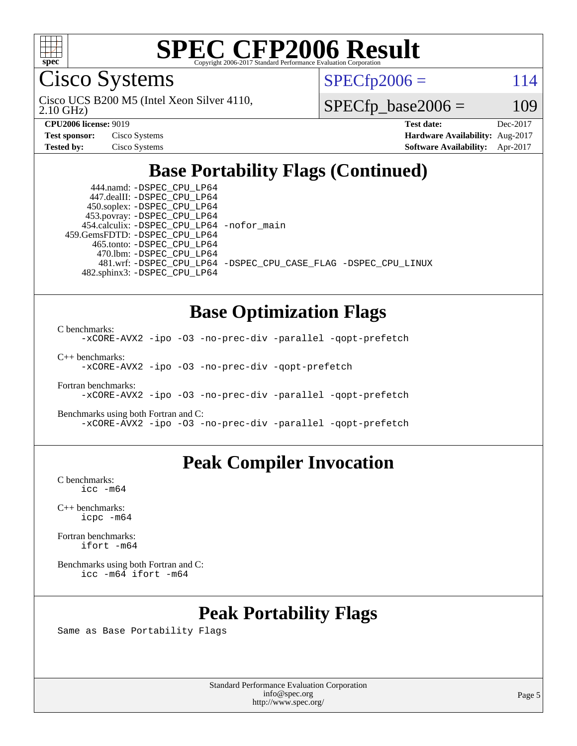

Cisco Systems

2.10 GHz) Cisco UCS B200 M5 (Intel Xeon Silver 4110,  $SPECTp2006 = 114$ 

 $SPECfp\_base2006 = 109$ 

| <b>Test sponsor:</b> | Cisco Systems |
|----------------------|---------------|
| <b>Tested by:</b>    | Cisco Systems |

**[CPU2006 license:](http://www.spec.org/auto/cpu2006/Docs/result-fields.html#CPU2006license)** 9019 **[Test date:](http://www.spec.org/auto/cpu2006/Docs/result-fields.html#Testdate)** Dec-2017 **[Hardware Availability:](http://www.spec.org/auto/cpu2006/Docs/result-fields.html#HardwareAvailability)** Aug-2017 **[Software Availability:](http://www.spec.org/auto/cpu2006/Docs/result-fields.html#SoftwareAvailability)** Apr-2017

# **[Base Portability Flags \(Continued\)](http://www.spec.org/auto/cpu2006/Docs/result-fields.html#BasePortabilityFlags)**

 444.namd: [-DSPEC\\_CPU\\_LP64](http://www.spec.org/cpu2006/results/res2017q4/cpu2006-20171211-50978.flags.html#suite_basePORTABILITY444_namd_DSPEC_CPU_LP64) 447.dealII: [-DSPEC\\_CPU\\_LP64](http://www.spec.org/cpu2006/results/res2017q4/cpu2006-20171211-50978.flags.html#suite_basePORTABILITY447_dealII_DSPEC_CPU_LP64) 450.soplex: [-DSPEC\\_CPU\\_LP64](http://www.spec.org/cpu2006/results/res2017q4/cpu2006-20171211-50978.flags.html#suite_basePORTABILITY450_soplex_DSPEC_CPU_LP64) 453.povray: [-DSPEC\\_CPU\\_LP64](http://www.spec.org/cpu2006/results/res2017q4/cpu2006-20171211-50978.flags.html#suite_basePORTABILITY453_povray_DSPEC_CPU_LP64) 454.calculix: [-DSPEC\\_CPU\\_LP64](http://www.spec.org/cpu2006/results/res2017q4/cpu2006-20171211-50978.flags.html#suite_basePORTABILITY454_calculix_DSPEC_CPU_LP64) [-nofor\\_main](http://www.spec.org/cpu2006/results/res2017q4/cpu2006-20171211-50978.flags.html#user_baseLDPORTABILITY454_calculix_f-nofor_main) 459.GemsFDTD: [-DSPEC\\_CPU\\_LP64](http://www.spec.org/cpu2006/results/res2017q4/cpu2006-20171211-50978.flags.html#suite_basePORTABILITY459_GemsFDTD_DSPEC_CPU_LP64) 465.tonto: [-DSPEC\\_CPU\\_LP64](http://www.spec.org/cpu2006/results/res2017q4/cpu2006-20171211-50978.flags.html#suite_basePORTABILITY465_tonto_DSPEC_CPU_LP64) 470.lbm: [-DSPEC\\_CPU\\_LP64](http://www.spec.org/cpu2006/results/res2017q4/cpu2006-20171211-50978.flags.html#suite_basePORTABILITY470_lbm_DSPEC_CPU_LP64) 482.sphinx3: [-DSPEC\\_CPU\\_LP64](http://www.spec.org/cpu2006/results/res2017q4/cpu2006-20171211-50978.flags.html#suite_basePORTABILITY482_sphinx3_DSPEC_CPU_LP64)

481.wrf: [-DSPEC\\_CPU\\_LP64](http://www.spec.org/cpu2006/results/res2017q4/cpu2006-20171211-50978.flags.html#suite_basePORTABILITY481_wrf_DSPEC_CPU_LP64) [-DSPEC\\_CPU\\_CASE\\_FLAG](http://www.spec.org/cpu2006/results/res2017q4/cpu2006-20171211-50978.flags.html#b481.wrf_baseCPORTABILITY_DSPEC_CPU_CASE_FLAG) [-DSPEC\\_CPU\\_LINUX](http://www.spec.org/cpu2006/results/res2017q4/cpu2006-20171211-50978.flags.html#b481.wrf_baseCPORTABILITY_DSPEC_CPU_LINUX)

### **[Base Optimization Flags](http://www.spec.org/auto/cpu2006/Docs/result-fields.html#BaseOptimizationFlags)**

[C benchmarks](http://www.spec.org/auto/cpu2006/Docs/result-fields.html#Cbenchmarks):

[-xCORE-AVX2](http://www.spec.org/cpu2006/results/res2017q4/cpu2006-20171211-50978.flags.html#user_CCbase_f-xCORE-AVX2) [-ipo](http://www.spec.org/cpu2006/results/res2017q4/cpu2006-20171211-50978.flags.html#user_CCbase_f-ipo) [-O3](http://www.spec.org/cpu2006/results/res2017q4/cpu2006-20171211-50978.flags.html#user_CCbase_f-O3) [-no-prec-div](http://www.spec.org/cpu2006/results/res2017q4/cpu2006-20171211-50978.flags.html#user_CCbase_f-no-prec-div) [-parallel](http://www.spec.org/cpu2006/results/res2017q4/cpu2006-20171211-50978.flags.html#user_CCbase_f-parallel) [-qopt-prefetch](http://www.spec.org/cpu2006/results/res2017q4/cpu2006-20171211-50978.flags.html#user_CCbase_f-qopt-prefetch)

[C++ benchmarks:](http://www.spec.org/auto/cpu2006/Docs/result-fields.html#CXXbenchmarks) [-xCORE-AVX2](http://www.spec.org/cpu2006/results/res2017q4/cpu2006-20171211-50978.flags.html#user_CXXbase_f-xCORE-AVX2) [-ipo](http://www.spec.org/cpu2006/results/res2017q4/cpu2006-20171211-50978.flags.html#user_CXXbase_f-ipo) [-O3](http://www.spec.org/cpu2006/results/res2017q4/cpu2006-20171211-50978.flags.html#user_CXXbase_f-O3) [-no-prec-div](http://www.spec.org/cpu2006/results/res2017q4/cpu2006-20171211-50978.flags.html#user_CXXbase_f-no-prec-div) [-qopt-prefetch](http://www.spec.org/cpu2006/results/res2017q4/cpu2006-20171211-50978.flags.html#user_CXXbase_f-qopt-prefetch)

[Fortran benchmarks](http://www.spec.org/auto/cpu2006/Docs/result-fields.html#Fortranbenchmarks): [-xCORE-AVX2](http://www.spec.org/cpu2006/results/res2017q4/cpu2006-20171211-50978.flags.html#user_FCbase_f-xCORE-AVX2) [-ipo](http://www.spec.org/cpu2006/results/res2017q4/cpu2006-20171211-50978.flags.html#user_FCbase_f-ipo) [-O3](http://www.spec.org/cpu2006/results/res2017q4/cpu2006-20171211-50978.flags.html#user_FCbase_f-O3) [-no-prec-div](http://www.spec.org/cpu2006/results/res2017q4/cpu2006-20171211-50978.flags.html#user_FCbase_f-no-prec-div) [-parallel](http://www.spec.org/cpu2006/results/res2017q4/cpu2006-20171211-50978.flags.html#user_FCbase_f-parallel) [-qopt-prefetch](http://www.spec.org/cpu2006/results/res2017q4/cpu2006-20171211-50978.flags.html#user_FCbase_f-qopt-prefetch)

[Benchmarks using both Fortran and C](http://www.spec.org/auto/cpu2006/Docs/result-fields.html#BenchmarksusingbothFortranandC): [-xCORE-AVX2](http://www.spec.org/cpu2006/results/res2017q4/cpu2006-20171211-50978.flags.html#user_CC_FCbase_f-xCORE-AVX2) [-ipo](http://www.spec.org/cpu2006/results/res2017q4/cpu2006-20171211-50978.flags.html#user_CC_FCbase_f-ipo) [-O3](http://www.spec.org/cpu2006/results/res2017q4/cpu2006-20171211-50978.flags.html#user_CC_FCbase_f-O3) [-no-prec-div](http://www.spec.org/cpu2006/results/res2017q4/cpu2006-20171211-50978.flags.html#user_CC_FCbase_f-no-prec-div) [-parallel](http://www.spec.org/cpu2006/results/res2017q4/cpu2006-20171211-50978.flags.html#user_CC_FCbase_f-parallel) [-qopt-prefetch](http://www.spec.org/cpu2006/results/res2017q4/cpu2006-20171211-50978.flags.html#user_CC_FCbase_f-qopt-prefetch)

## **[Peak Compiler Invocation](http://www.spec.org/auto/cpu2006/Docs/result-fields.html#PeakCompilerInvocation)**

[C benchmarks](http://www.spec.org/auto/cpu2006/Docs/result-fields.html#Cbenchmarks): [icc -m64](http://www.spec.org/cpu2006/results/res2017q4/cpu2006-20171211-50978.flags.html#user_CCpeak_intel_icc_64bit_bda6cc9af1fdbb0edc3795bac97ada53)

[C++ benchmarks:](http://www.spec.org/auto/cpu2006/Docs/result-fields.html#CXXbenchmarks) [icpc -m64](http://www.spec.org/cpu2006/results/res2017q4/cpu2006-20171211-50978.flags.html#user_CXXpeak_intel_icpc_64bit_fc66a5337ce925472a5c54ad6a0de310)

[Fortran benchmarks](http://www.spec.org/auto/cpu2006/Docs/result-fields.html#Fortranbenchmarks): [ifort -m64](http://www.spec.org/cpu2006/results/res2017q4/cpu2006-20171211-50978.flags.html#user_FCpeak_intel_ifort_64bit_ee9d0fb25645d0210d97eb0527dcc06e)

[Benchmarks using both Fortran and C](http://www.spec.org/auto/cpu2006/Docs/result-fields.html#BenchmarksusingbothFortranandC): [icc -m64](http://www.spec.org/cpu2006/results/res2017q4/cpu2006-20171211-50978.flags.html#user_CC_FCpeak_intel_icc_64bit_bda6cc9af1fdbb0edc3795bac97ada53) [ifort -m64](http://www.spec.org/cpu2006/results/res2017q4/cpu2006-20171211-50978.flags.html#user_CC_FCpeak_intel_ifort_64bit_ee9d0fb25645d0210d97eb0527dcc06e)

# **[Peak Portability Flags](http://www.spec.org/auto/cpu2006/Docs/result-fields.html#PeakPortabilityFlags)**

Same as Base Portability Flags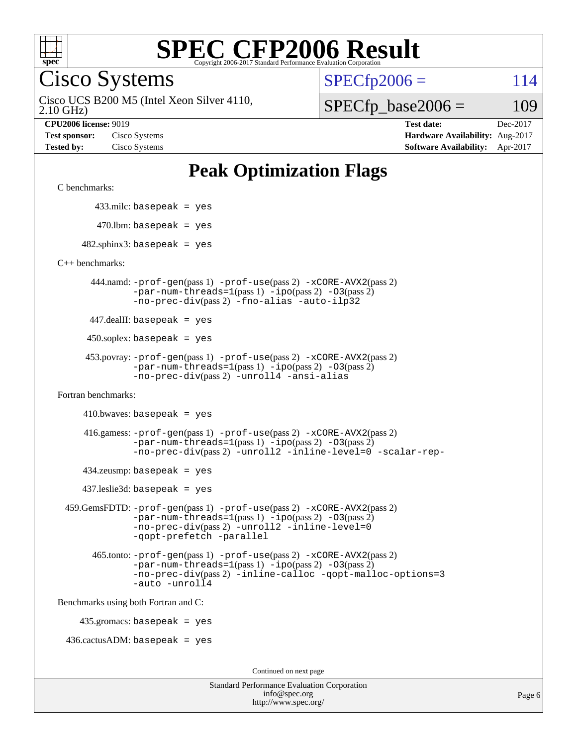

Cisco Systems

 $SPECTp2006 = 114$ 

2.10 GHz) Cisco UCS B200 M5 (Intel Xeon Silver 4110,

 $SPECfp\_base2006 = 109$ 

**[CPU2006 license:](http://www.spec.org/auto/cpu2006/Docs/result-fields.html#CPU2006license)** 9019 **[Test date:](http://www.spec.org/auto/cpu2006/Docs/result-fields.html#Testdate)** Dec-2017 **[Test sponsor:](http://www.spec.org/auto/cpu2006/Docs/result-fields.html#Testsponsor)** Cisco Systems **[Hardware Availability:](http://www.spec.org/auto/cpu2006/Docs/result-fields.html#HardwareAvailability)** Aug-2017 **[Tested by:](http://www.spec.org/auto/cpu2006/Docs/result-fields.html#Testedby)** Cisco Systems **[Software Availability:](http://www.spec.org/auto/cpu2006/Docs/result-fields.html#SoftwareAvailability)** Apr-2017

# **[Peak Optimization Flags](http://www.spec.org/auto/cpu2006/Docs/result-fields.html#PeakOptimizationFlags)**

[C benchmarks](http://www.spec.org/auto/cpu2006/Docs/result-fields.html#Cbenchmarks):

433.milc: basepeak = yes

 $470.$ lbm: basepeak = yes

 $482$ .sphinx3: basepeak = yes

[C++ benchmarks:](http://www.spec.org/auto/cpu2006/Docs/result-fields.html#CXXbenchmarks)

 444.namd: [-prof-gen](http://www.spec.org/cpu2006/results/res2017q4/cpu2006-20171211-50978.flags.html#user_peakPASS1_CXXFLAGSPASS1_LDFLAGS444_namd_prof_gen_e43856698f6ca7b7e442dfd80e94a8fc)(pass 1) [-prof-use](http://www.spec.org/cpu2006/results/res2017q4/cpu2006-20171211-50978.flags.html#user_peakPASS2_CXXFLAGSPASS2_LDFLAGS444_namd_prof_use_bccf7792157ff70d64e32fe3e1250b55)(pass 2) [-xCORE-AVX2](http://www.spec.org/cpu2006/results/res2017q4/cpu2006-20171211-50978.flags.html#user_peakPASS2_CXXFLAGSPASS2_LDFLAGS444_namd_f-xCORE-AVX2)(pass 2)  $-par-num-threads=1(pass 1) -ipo(pass 2) -O3(pass 2)$  $-par-num-threads=1(pass 1) -ipo(pass 2) -O3(pass 2)$  $-par-num-threads=1(pass 1) -ipo(pass 2) -O3(pass 2)$  $-par-num-threads=1(pass 1) -ipo(pass 2) -O3(pass 2)$  $-par-num-threads=1(pass 1) -ipo(pass 2) -O3(pass 2)$  $-par-num-threads=1(pass 1) -ipo(pass 2) -O3(pass 2)$ [-no-prec-div](http://www.spec.org/cpu2006/results/res2017q4/cpu2006-20171211-50978.flags.html#user_peakPASS2_CXXFLAGSPASS2_LDFLAGS444_namd_f-no-prec-div)(pass 2) [-fno-alias](http://www.spec.org/cpu2006/results/res2017q4/cpu2006-20171211-50978.flags.html#user_peakCXXOPTIMIZEOPTIMIZE444_namd_f-no-alias_694e77f6c5a51e658e82ccff53a9e63a) [-auto-ilp32](http://www.spec.org/cpu2006/results/res2017q4/cpu2006-20171211-50978.flags.html#user_peakCXXOPTIMIZE444_namd_f-auto-ilp32)

447.dealII: basepeak = yes

 $450$ .soplex: basepeak = yes

 453.povray: [-prof-gen](http://www.spec.org/cpu2006/results/res2017q4/cpu2006-20171211-50978.flags.html#user_peakPASS1_CXXFLAGSPASS1_LDFLAGS453_povray_prof_gen_e43856698f6ca7b7e442dfd80e94a8fc)(pass 1) [-prof-use](http://www.spec.org/cpu2006/results/res2017q4/cpu2006-20171211-50978.flags.html#user_peakPASS2_CXXFLAGSPASS2_LDFLAGS453_povray_prof_use_bccf7792157ff70d64e32fe3e1250b55)(pass 2) [-xCORE-AVX2](http://www.spec.org/cpu2006/results/res2017q4/cpu2006-20171211-50978.flags.html#user_peakPASS2_CXXFLAGSPASS2_LDFLAGS453_povray_f-xCORE-AVX2)(pass 2)  $-par-num-threads=1(pass 1) -ipo(pass 2) -O3(pass 2)$  $-par-num-threads=1(pass 1) -ipo(pass 2) -O3(pass 2)$  $-par-num-threads=1(pass 1) -ipo(pass 2) -O3(pass 2)$  $-par-num-threads=1(pass 1) -ipo(pass 2) -O3(pass 2)$  $-par-num-threads=1(pass 1) -ipo(pass 2) -O3(pass 2)$  $-par-num-threads=1(pass 1) -ipo(pass 2) -O3(pass 2)$ [-no-prec-div](http://www.spec.org/cpu2006/results/res2017q4/cpu2006-20171211-50978.flags.html#user_peakPASS2_CXXFLAGSPASS2_LDFLAGS453_povray_f-no-prec-div)(pass 2) [-unroll4](http://www.spec.org/cpu2006/results/res2017q4/cpu2006-20171211-50978.flags.html#user_peakCXXOPTIMIZE453_povray_f-unroll_4e5e4ed65b7fd20bdcd365bec371b81f) [-ansi-alias](http://www.spec.org/cpu2006/results/res2017q4/cpu2006-20171211-50978.flags.html#user_peakCXXOPTIMIZE453_povray_f-ansi-alias)

[Fortran benchmarks](http://www.spec.org/auto/cpu2006/Docs/result-fields.html#Fortranbenchmarks):

 $410.bwaves: basepeak = yes$ 

 416.gamess: [-prof-gen](http://www.spec.org/cpu2006/results/res2017q4/cpu2006-20171211-50978.flags.html#user_peakPASS1_FFLAGSPASS1_LDFLAGS416_gamess_prof_gen_e43856698f6ca7b7e442dfd80e94a8fc)(pass 1) [-prof-use](http://www.spec.org/cpu2006/results/res2017q4/cpu2006-20171211-50978.flags.html#user_peakPASS2_FFLAGSPASS2_LDFLAGS416_gamess_prof_use_bccf7792157ff70d64e32fe3e1250b55)(pass 2) [-xCORE-AVX2](http://www.spec.org/cpu2006/results/res2017q4/cpu2006-20171211-50978.flags.html#user_peakPASS2_FFLAGSPASS2_LDFLAGS416_gamess_f-xCORE-AVX2)(pass 2)  $-par-num-threads=1(pass 1) -ipo(pass 2) -O3(pass 2)$  $-par-num-threads=1(pass 1) -ipo(pass 2) -O3(pass 2)$  $-par-num-threads=1(pass 1) -ipo(pass 2) -O3(pass 2)$  $-par-num-threads=1(pass 1) -ipo(pass 2) -O3(pass 2)$  $-par-num-threads=1(pass 1) -ipo(pass 2) -O3(pass 2)$  $-par-num-threads=1(pass 1) -ipo(pass 2) -O3(pass 2)$ [-no-prec-div](http://www.spec.org/cpu2006/results/res2017q4/cpu2006-20171211-50978.flags.html#user_peakPASS2_FFLAGSPASS2_LDFLAGS416_gamess_f-no-prec-div)(pass 2) [-unroll2](http://www.spec.org/cpu2006/results/res2017q4/cpu2006-20171211-50978.flags.html#user_peakOPTIMIZE416_gamess_f-unroll_784dae83bebfb236979b41d2422d7ec2) [-inline-level=0](http://www.spec.org/cpu2006/results/res2017q4/cpu2006-20171211-50978.flags.html#user_peakOPTIMIZE416_gamess_f-inline-level_318d07a09274ad25e8d15dbfaa68ba50) [-scalar-rep-](http://www.spec.org/cpu2006/results/res2017q4/cpu2006-20171211-50978.flags.html#user_peakOPTIMIZE416_gamess_f-disablescalarrep_abbcad04450fb118e4809c81d83c8a1d)

 $434$ .zeusmp: basepeak = yes

437.leslie3d: basepeak = yes

```
 459.GemsFDTD: -prof-gen(pass 1) -prof-use(pass 2) -xCORE-AVX2(pass 2)
 -par-num-threads=1(pass 1) -ipo(pass 2) -O3(pass 2)
 -no-prec-div(pass 2) -unroll2 -inline-level=0
 -qopt-prefetch -parallel
```
 465.tonto: [-prof-gen](http://www.spec.org/cpu2006/results/res2017q4/cpu2006-20171211-50978.flags.html#user_peakPASS1_FFLAGSPASS1_LDFLAGS465_tonto_prof_gen_e43856698f6ca7b7e442dfd80e94a8fc)(pass 1) [-prof-use](http://www.spec.org/cpu2006/results/res2017q4/cpu2006-20171211-50978.flags.html#user_peakPASS2_FFLAGSPASS2_LDFLAGS465_tonto_prof_use_bccf7792157ff70d64e32fe3e1250b55)(pass 2) [-xCORE-AVX2](http://www.spec.org/cpu2006/results/res2017q4/cpu2006-20171211-50978.flags.html#user_peakPASS2_FFLAGSPASS2_LDFLAGS465_tonto_f-xCORE-AVX2)(pass 2)  $-par-num-threads=1(pass 1) -ipo(pass 2) -O3(pass 2)$  $-par-num-threads=1(pass 1) -ipo(pass 2) -O3(pass 2)$  $-par-num-threads=1(pass 1) -ipo(pass 2) -O3(pass 2)$  $-par-num-threads=1(pass 1) -ipo(pass 2) -O3(pass 2)$  $-par-num-threads=1(pass 1) -ipo(pass 2) -O3(pass 2)$  $-par-num-threads=1(pass 1) -ipo(pass 2) -O3(pass 2)$ [-no-prec-div](http://www.spec.org/cpu2006/results/res2017q4/cpu2006-20171211-50978.flags.html#user_peakPASS2_FFLAGSPASS2_LDFLAGS465_tonto_f-no-prec-div)(pass 2) [-inline-calloc](http://www.spec.org/cpu2006/results/res2017q4/cpu2006-20171211-50978.flags.html#user_peakOPTIMIZE465_tonto_f-inline-calloc) [-qopt-malloc-options=3](http://www.spec.org/cpu2006/results/res2017q4/cpu2006-20171211-50978.flags.html#user_peakOPTIMIZE465_tonto_f-qopt-malloc-options_0fcb435012e78f27d57f473818e45fe4) [-auto](http://www.spec.org/cpu2006/results/res2017q4/cpu2006-20171211-50978.flags.html#user_peakOPTIMIZE465_tonto_f-auto) [-unroll4](http://www.spec.org/cpu2006/results/res2017q4/cpu2006-20171211-50978.flags.html#user_peakOPTIMIZE465_tonto_f-unroll_4e5e4ed65b7fd20bdcd365bec371b81f)

[Benchmarks using both Fortran and C](http://www.spec.org/auto/cpu2006/Docs/result-fields.html#BenchmarksusingbothFortranandC):

435.gromacs: basepeak = yes

 $436.cactusADM:basepeak = yes$ 

Continued on next page